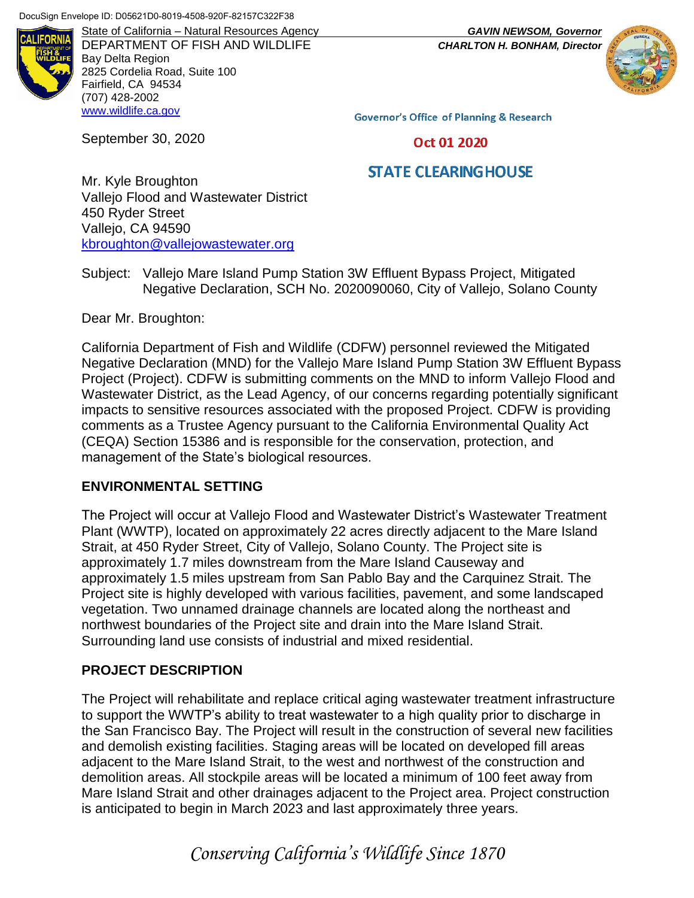

DEPARTMENT OF FISH AND WILDLIFE *CHARLTON H. BONHAM, Director* Bay Delta Region 2825 Cordelia Road, Suite 100 Fairfield, CA 94534 (707) 428-2002 [www.wildlife.ca.gov](http://www.wildlife.ca.gov/)

State of California – Natural Resources Agency *GAVIN NEWSOM, Governor*



**Governor's Office of Planning & Research** 

Oct 01 2020

# **STATE CLEARING HOUSE**

Mr. Kyle Broughton Vallejo Flood and Wastewater District 450 Ryder Street Vallejo, CA 94590 [kbroughton@vallejowastewater.org](mailto:kbroughton@vallejowastewater.org)

Subject: Vallejo Mare Island Pump Station 3W Effluent Bypass Project, Mitigated Negative Declaration, SCH No. 2020090060, City of Vallejo, Solano County

Dear Mr. Broughton:

September 30, 2020

California Department of Fish and Wildlife (CDFW) personnel reviewed the Mitigated Negative Declaration (MND) for the Vallejo Mare Island Pump Station 3W Effluent Bypass Project (Project). CDFW is submitting comments on the MND to inform Vallejo Flood and Wastewater District, as the Lead Agency, of our concerns regarding potentially significant impacts to sensitive resources associated with the proposed Project. CDFW is providing comments as a Trustee Agency pursuant to the California Environmental Quality Act (CEQA) Section 15386 and is responsible for the conservation, protection, and management of the State's biological resources.

#### **ENVIRONMENTAL SETTING**

The Project will occur at Vallejo Flood and Wastewater District's Wastewater Treatment Plant (WWTP), located on approximately 22 acres directly adjacent to the Mare Island Strait, at 450 Ryder Street, City of Vallejo, Solano County. The Project site is approximately 1.7 miles downstream from the Mare Island Causeway and approximately 1.5 miles upstream from San Pablo Bay and the Carquinez Strait. The Project site is highly developed with various facilities, pavement, and some landscaped vegetation. Two unnamed drainage channels are located along the northeast and northwest boundaries of the Project site and drain into the Mare Island Strait. Surrounding land use consists of industrial and mixed residential.

#### **PROJECT DESCRIPTION**

The Project will rehabilitate and replace critical aging wastewater treatment infrastructure to support the WWTP's ability to treat wastewater to a high quality prior to discharge in the San Francisco Bay. The Project will result in the construction of several new facilities and demolish existing facilities. Staging areas will be located on developed fill areas adjacent to the Mare Island Strait, to the west and northwest of the construction and demolition areas. All stockpile areas will be located a minimum of 100 feet away from Mare Island Strait and other drainages adjacent to the Project area. Project construction is anticipated to begin in March 2023 and last approximately three years.

*Conserving California's Wildlife Since 1870*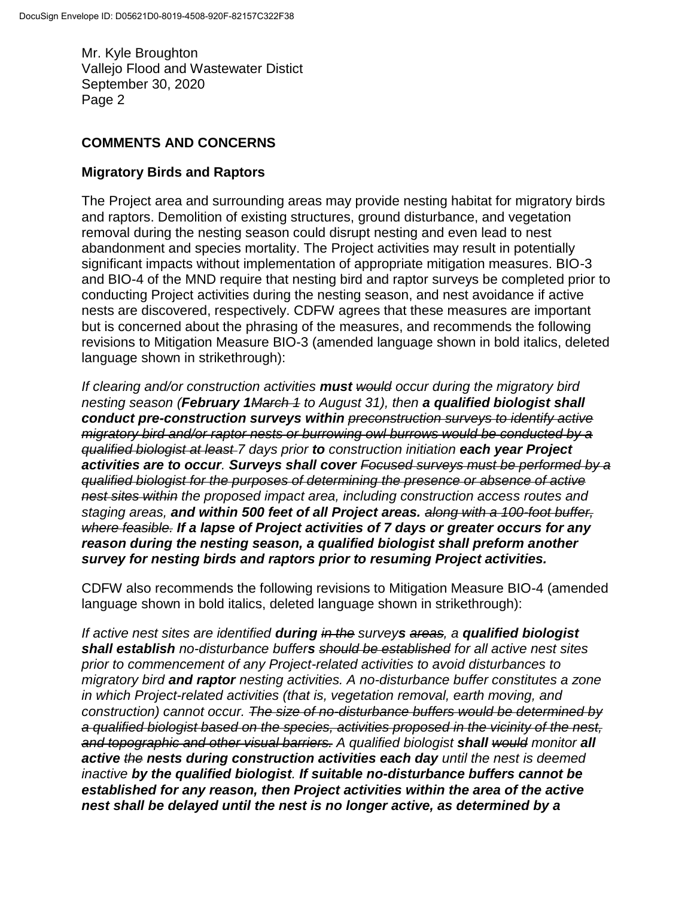Mr. Kyle Broughton Vallejo Flood and Wastewater Distict September 30, 2020 Page 2

## **COMMENTS AND CONCERNS**

## **Migratory Birds and Raptors**

The Project area and surrounding areas may provide nesting habitat for migratory birds and raptors. Demolition of existing structures, ground disturbance, and vegetation removal during the nesting season could disrupt nesting and even lead to nest abandonment and species mortality. The Project activities may result in potentially significant impacts without implementation of appropriate mitigation measures. BIO-3 and BIO-4 of the MND require that nesting bird and raptor surveys be completed prior to conducting Project activities during the nesting season, and nest avoidance if active nests are discovered, respectively. CDFW agrees that these measures are important but is concerned about the phrasing of the measures, and recommends the following revisions to Mitigation Measure BIO-3 (amended language shown in bold italics, deleted language shown in strikethrough):

*If clearing and/or construction activities must would occur during the migratory bird nesting season (February 1March 1 to August 31), then a qualified biologist shall conduct pre-construction surveys within preconstruction surveys to identify active migratory bird and/or raptor nests or burrowing owl burrows would be conducted by a qualified biologist at least 7 days prior to construction initiation each year Project activities are to occur. Surveys shall cover Focused surveys must be performed by a qualified biologist for the purposes of determining the presence or absence of active nest sites within the proposed impact area, including construction access routes and staging areas, and within 500 feet of all Project areas. along with a 100-foot buffer, where feasible. If a lapse of Project activities of 7 days or greater occurs for any reason during the nesting season, a qualified biologist shall preform another survey for nesting birds and raptors prior to resuming Project activities.* 

CDFW also recommends the following revisions to Mitigation Measure BIO-4 (amended language shown in bold italics, deleted language shown in strikethrough):

*If active nest sites are identified during in the surveys areas, a qualified biologist shall establish no-disturbance buffers should be established for all active nest sites prior to commencement of any Project-related activities to avoid disturbances to migratory bird and raptor nesting activities. A no-disturbance buffer constitutes a zone in which Project-related activities (that is, vegetation removal, earth moving, and construction) cannot occur. The size of no-disturbance buffers would be determined by a qualified biologist based on the species, activities proposed in the vicinity of the nest, and topographic and other visual barriers. A qualified biologist shall would monitor all active the nests during construction activities each day until the nest is deemed inactive by the qualified biologist. If suitable no-disturbance buffers cannot be established for any reason, then Project activities within the area of the active nest shall be delayed until the nest is no longer active, as determined by a*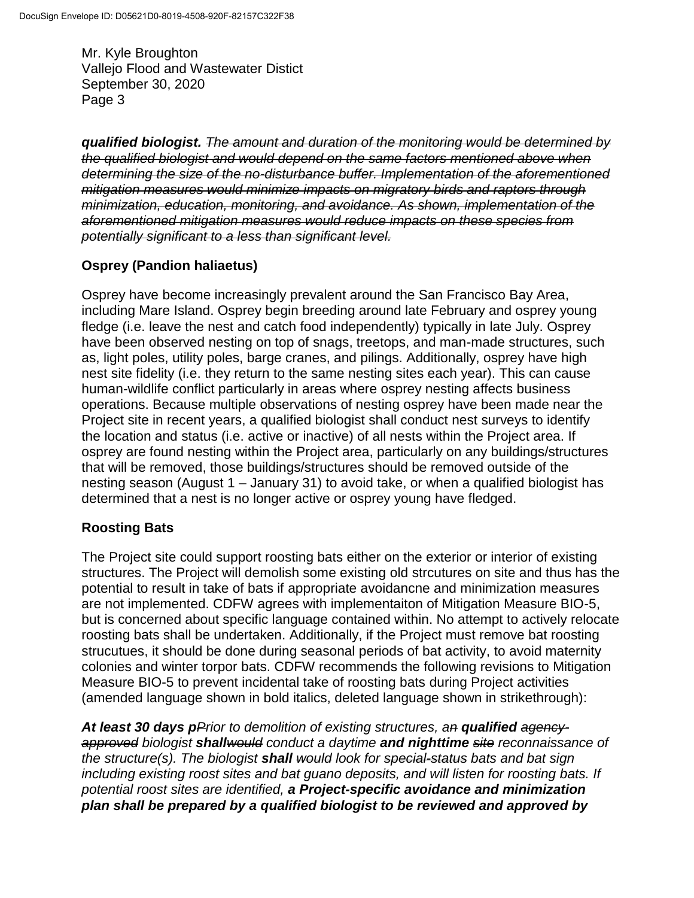Mr. Kyle Broughton Vallejo Flood and Wastewater Distict September 30, 2020 Page 3

*qualified biologist. The amount and duration of the monitoring would be determined by the qualified biologist and would depend on the same factors mentioned above when determining the size of the no-disturbance buffer. Implementation of the aforementioned mitigation measures would minimize impacts on migratory birds and raptors through minimization, education, monitoring, and avoidance. As shown, implementation of the aforementioned mitigation measures would reduce impacts on these species from potentially significant to a less than significant level.*

# **Osprey (Pandion haliaetus)**

Osprey have become increasingly prevalent around the San Francisco Bay Area, including Mare Island. Osprey begin breeding around late February and osprey young fledge (i.e. leave the nest and catch food independently) typically in late July. Osprey have been observed nesting on top of snags, treetops, and man-made structures, such as, light poles, utility poles, barge cranes, and pilings. Additionally, osprey have high nest site fidelity (i.e. they return to the same nesting sites each year). This can cause human-wildlife conflict particularly in areas where osprey nesting affects business operations. Because multiple observations of nesting osprey have been made near the Project site in recent years, a qualified biologist shall conduct nest surveys to identify the location and status (i.e. active or inactive) of all nests within the Project area. If osprey are found nesting within the Project area, particularly on any buildings/structures that will be removed, those buildings/structures should be removed outside of the nesting season (August 1 – January 31) to avoid take, or when a qualified biologist has determined that a nest is no longer active or osprey young have fledged.

### **Roosting Bats**

The Project site could support roosting bats either on the exterior or interior of existing structures. The Project will demolish some existing old strcutures on site and thus has the potential to result in take of bats if appropriate avoidancne and minimization measures are not implemented. CDFW agrees with implementaiton of Mitigation Measure BIO-5, but is concerned about specific language contained within. No attempt to actively relocate roosting bats shall be undertaken. Additionally, if the Project must remove bat roosting strucutues, it should be done during seasonal periods of bat activity, to avoid maternity colonies and winter torpor bats. CDFW recommends the following revisions to Mitigation Measure BIO-5 to prevent incidental take of roosting bats during Project activities (amended language shown in bold italics, deleted language shown in strikethrough):

*At least 30 days pPrior to demolition of existing structures, an qualified agencyapproved biologist shallwould conduct a daytime and nighttime site reconnaissance of the structure(s). The biologist shall would look for special-status bats and bat sign including existing roost sites and bat guano deposits, and will listen for roosting bats. If potential roost sites are identified, a Project-specific avoidance and minimization plan shall be prepared by a qualified biologist to be reviewed and approved by*